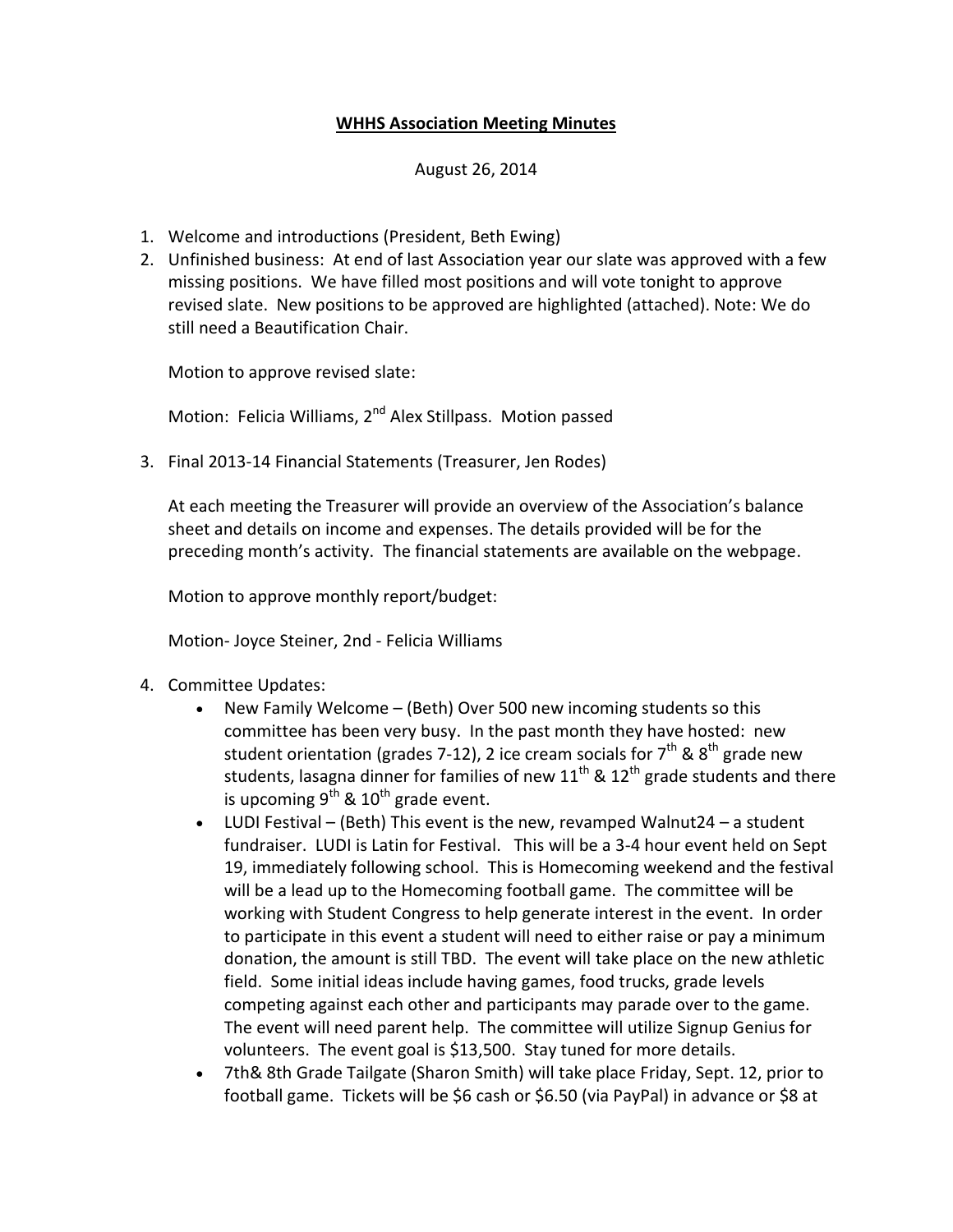## **WHHS Association Meeting Minutes**

## August 26, 2014

- 1. Welcome and introductions (President, Beth Ewing)
- 2. Unfinished business: At end of last Association year our slate was approved with a few missing positions. We have filled most positions and will vote tonight to approve revised slate. New positions to be approved are highlighted (attached). Note: We do still need a Beautification Chair.

Motion to approve revised slate:

Motion: Felicia Williams, 2<sup>nd</sup> Alex Stillpass. Motion passed

3. Final 2013-14 Financial Statements (Treasurer, Jen Rodes)

At each meeting the Treasurer will provide an overview of the Association's balance sheet and details on income and expenses. The details provided will be for the preceding month's activity. The financial statements are available on the webpage.

Motion to approve monthly report/budget:

Motion- Joyce Steiner, 2nd - Felicia Williams

- 4. Committee Updates:
	- New Family Welcome (Beth) Over 500 new incoming students so this committee has been very busy. In the past month they have hosted: new student orientation (grades 7-12), 2 ice cream socials for  $7<sup>th</sup>$  & 8<sup>th</sup> grade new students, lasagna dinner for families of new  $11^{th}$  &  $12^{th}$  grade students and there is upcoming  $9^{th}$  &  $10^{th}$  grade event.
	- LUDI Festival (Beth) This event is the new, revamped Walnut24 a student fundraiser. LUDI is Latin for Festival. This will be a 3-4 hour event held on Sept 19, immediately following school. This is Homecoming weekend and the festival will be a lead up to the Homecoming football game. The committee will be working with Student Congress to help generate interest in the event. In order to participate in this event a student will need to either raise or pay a minimum donation, the amount is still TBD. The event will take place on the new athletic field. Some initial ideas include having games, food trucks, grade levels competing against each other and participants may parade over to the game. The event will need parent help. The committee will utilize Signup Genius for volunteers. The event goal is \$13,500. Stay tuned for more details.
	- 7th& 8th Grade Tailgate (Sharon Smith) will take place Friday, Sept. 12, prior to football game. Tickets will be \$6 cash or \$6.50 (via PayPal) in advance or \$8 at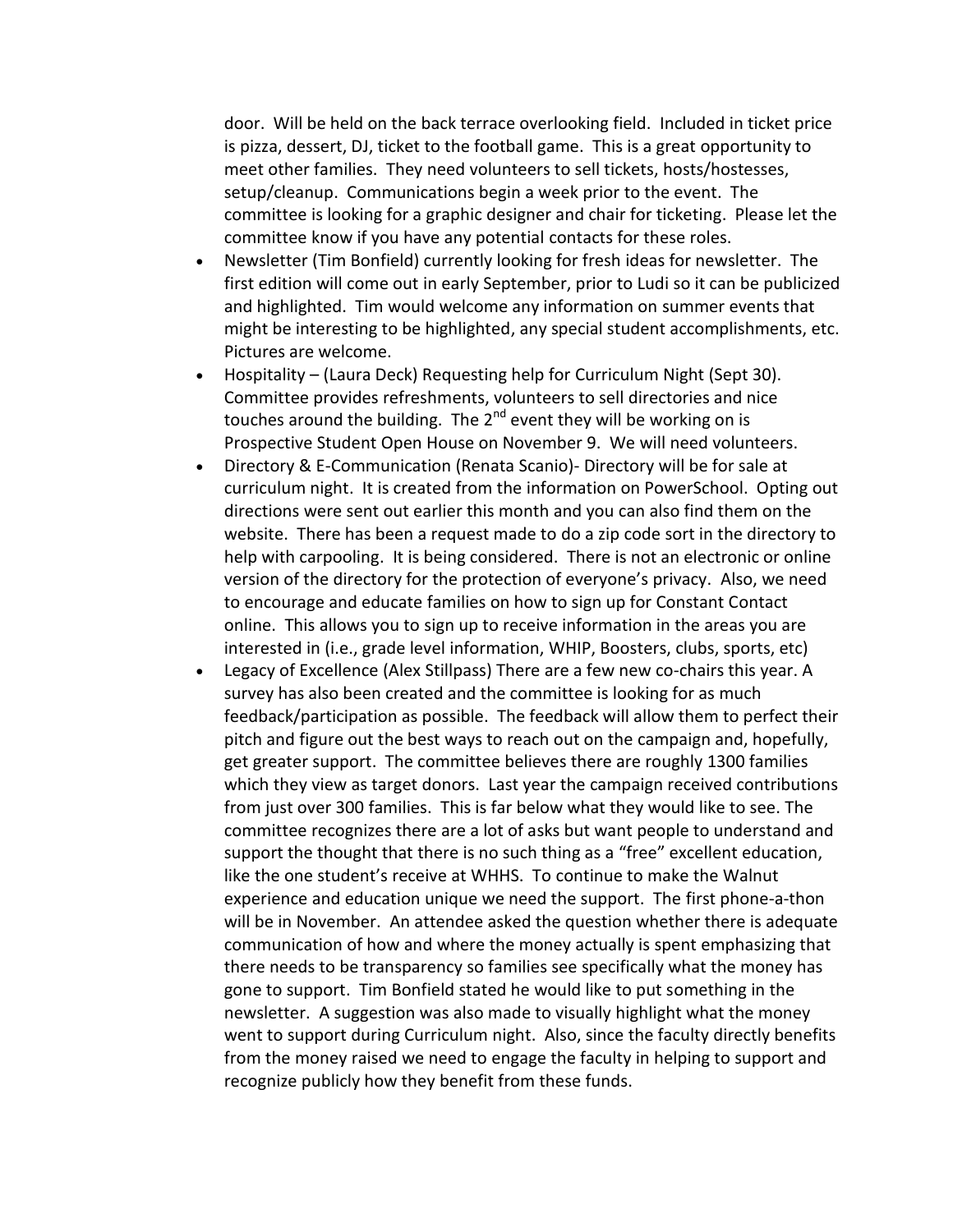door. Will be held on the back terrace overlooking field. Included in ticket price is pizza, dessert, DJ, ticket to the football game. This is a great opportunity to meet other families. They need volunteers to sell tickets, hosts/hostesses, setup/cleanup. Communications begin a week prior to the event. The committee is looking for a graphic designer and chair for ticketing. Please let the committee know if you have any potential contacts for these roles.

- Newsletter (Tim Bonfield) currently looking for fresh ideas for newsletter. The first edition will come out in early September, prior to Ludi so it can be publicized and highlighted. Tim would welcome any information on summer events that might be interesting to be highlighted, any special student accomplishments, etc. Pictures are welcome.
- Hospitality (Laura Deck) Requesting help for Curriculum Night (Sept 30). Committee provides refreshments, volunteers to sell directories and nice touches around the building. The 2<sup>nd</sup> event they will be working on is Prospective Student Open House on November 9. We will need volunteers.
- Directory & E-Communication (Renata Scanio)- Directory will be for sale at curriculum night. It is created from the information on PowerSchool. Opting out directions were sent out earlier this month and you can also find them on the website. There has been a request made to do a zip code sort in the directory to help with carpooling. It is being considered. There is not an electronic or online version of the directory for the protection of everyone's privacy. Also, we need to encourage and educate families on how to sign up for Constant Contact online. This allows you to sign up to receive information in the areas you are interested in (i.e., grade level information, WHIP, Boosters, clubs, sports, etc)
- Legacy of Excellence (Alex Stillpass) There are a few new co-chairs this year. A survey has also been created and the committee is looking for as much feedback/participation as possible. The feedback will allow them to perfect their pitch and figure out the best ways to reach out on the campaign and, hopefully, get greater support. The committee believes there are roughly 1300 families which they view as target donors. Last year the campaign received contributions from just over 300 families. This is far below what they would like to see. The committee recognizes there are a lot of asks but want people to understand and support the thought that there is no such thing as a "free" excellent education, like the one student's receive at WHHS. To continue to make the Walnut experience and education unique we need the support. The first phone-a-thon will be in November. An attendee asked the question whether there is adequate communication of how and where the money actually is spent emphasizing that there needs to be transparency so families see specifically what the money has gone to support. Tim Bonfield stated he would like to put something in the newsletter. A suggestion was also made to visually highlight what the money went to support during Curriculum night. Also, since the faculty directly benefits from the money raised we need to engage the faculty in helping to support and recognize publicly how they benefit from these funds.